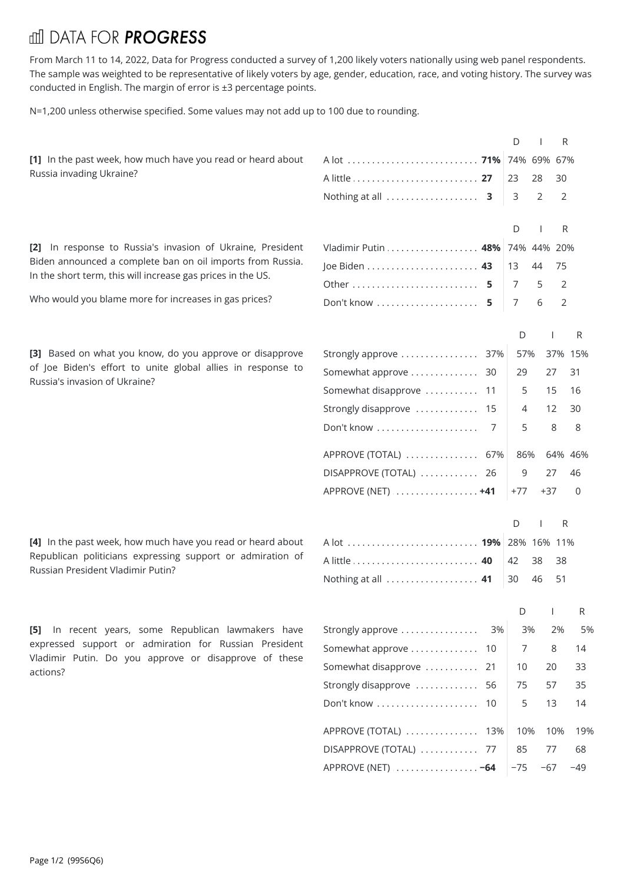## **III DATA FOR PROGRESS**

From March 11 to 14, 2022, Data for Progress conducted a survey of 1,200 likely voters nationally using web panel respondents. The sample was weighted to be representative of likely voters by age, gender, education, race, and voting history. The survey was conducted in English. The margin of error is ±3 percentage points.

N=1,200 unless otherwise specified. Some values may not add up to 100 due to rounding.

|                                                                                                              |                                                 | D              | R              |
|--------------------------------------------------------------------------------------------------------------|-------------------------------------------------|----------------|----------------|
| [1] In the past week, how much have you read or heard about                                                  |                                                 |                |                |
| Russia invading Ukraine?                                                                                     |                                                 | 23<br>28       | 30             |
|                                                                                                              |                                                 | 2<br>3         | 2              |
|                                                                                                              |                                                 | D              | R              |
| [2] In response to Russia's invasion of Ukraine, President                                                   | Vladimir Putin  48%                             | 74% 44% 20%    |                |
| Biden announced a complete ban on oil imports from Russia.                                                   |                                                 | 13<br>44       | 75             |
| In the short term, this will increase gas prices in the US.                                                  |                                                 | 7<br>5         | 2              |
| Who would you blame more for increases in gas prices?                                                        | Don't know  5                                   | 7<br>6         | 2              |
|                                                                                                              |                                                 |                |                |
|                                                                                                              |                                                 | D              | R              |
| [3] Based on what you know, do you approve or disapprove                                                     | Strongly approve  37%                           | 57%            | 37% 15%        |
| of Joe Biden's effort to unite global allies in response to<br>Russia's invasion of Ukraine?                 | Somewhat approve  30                            | 29<br>27       | 31             |
|                                                                                                              | Somewhat disapprove  11                         | 15<br>5        | 16             |
|                                                                                                              | Strongly disapprove  15                         | 12<br>4        | 30             |
|                                                                                                              | 7                                               | 8<br>5         | 8              |
|                                                                                                              | APPROVE (TOTAL)  67%                            | 86%            | 64% 46%        |
|                                                                                                              | DISAPPROVE (TOTAL)  26                          | 9<br>27        | 46             |
|                                                                                                              | APPROVE (NET)  +41                              | $+77$<br>$+37$ | 0              |
|                                                                                                              |                                                 | D              | R              |
| [4] In the past week, how much have you read or heard about                                                  | A lot <b>19%</b> 28% 16% 11%                    |                |                |
| Republican politicians expressing support or admiration of                                                   |                                                 | 42<br>38       | 38             |
|                                                                                                              |                                                 |                |                |
| Russian President Vladimir Putin?                                                                            | Nothing at all  41                              | 46<br>30       | 51             |
|                                                                                                              |                                                 |                |                |
|                                                                                                              |                                                 | D              | R.             |
| [5] In recent years, some Republican lawmakers have<br>expressed support or admiration for Russian President | Strongly approve<br>3%                          | 3%<br>8<br>7   | 2%<br>5%<br>14 |
| Vladimir Putin. Do you approve or disapprove of these                                                        | Somewhat approve  10<br>Somewhat disapprove  21 | 10<br>20       | 33             |
| actions?                                                                                                     | Strongly disapprove  56                         | 75<br>57       | 35             |
|                                                                                                              | Don't know  10                                  | 5<br>13        | 14             |
|                                                                                                              | APPROVE (TOTAL)  13%                            | 10%<br>10%     | 19%            |
|                                                                                                              | DISAPPROVE (TOTAL)  77                          | 85<br>77       | 68             |